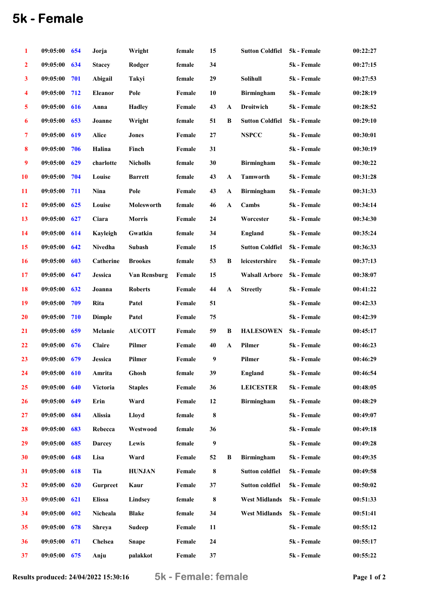## 5k - Female

| 1                | 09:05:00 | 654 | Jorja           | Wright          | female | 15      |              | <b>Sutton Coldfiel</b> | 5k - Female | 00:22:27 |
|------------------|----------|-----|-----------------|-----------------|--------|---------|--------------|------------------------|-------------|----------|
| $\overline{2}$   | 09:05:00 | 634 | <b>Stacey</b>   | Rodger          | female | 34      |              |                        | 5k - Female | 00:27:15 |
| $\mathbf{3}$     | 09:05:00 | 701 | Abigail         | Takyi           | female | 29      |              | Solihull               | 5k - Female | 00:27:53 |
| 4                | 09:05:00 | 712 | Eleanor         | Pole            | Female | 10      |              | <b>Birmingham</b>      | 5k - Female | 00:28:19 |
| 5                | 09:05:00 | 616 | Anna            | <b>Hadley</b>   | Female | 43      | A            | Droitwich              | 5k - Female | 00:28:52 |
| 6                | 09:05:00 | 653 | Joanne          | Wright          | female | 51      | B            | <b>Sutton Coldfiel</b> | 5k - Female | 00:29:10 |
| 7                | 09:05:00 | 619 | Alice           | <b>Jones</b>    | Female | 27      |              | <b>NSPCC</b>           | 5k - Female | 00:30:01 |
| $\boldsymbol{8}$ | 09:05:00 | 706 | Halina          | Finch           | Female | 31      |              |                        | 5k - Female | 00:30:19 |
| $\boldsymbol{9}$ | 09:05:00 | 629 | charlotte       | <b>Nicholls</b> | female | 30      |              | <b>Birmingham</b>      | 5k - Female | 00:30:22 |
| <b>10</b>        | 09:05:00 | 704 | Louise          | <b>Barrett</b>  | female | 43      | $\mathbf{A}$ | <b>Tamworth</b>        | 5k - Female | 00:31:28 |
| 11               | 09:05:00 | 711 | Nina            | Pole            | Female | 43      | $\mathbf A$  | <b>Birmingham</b>      | 5k - Female | 00:31:33 |
| 12               | 09:05:00 | 625 | Louise          | Molesworth      | female | 46      | $\mathbf{A}$ | Cambs                  | 5k - Female | 00:34:14 |
| 13               | 09:05:00 | 627 | Ciara           | <b>Morris</b>   | Female | 24      |              | Worcester              | 5k - Female | 00:34:30 |
| 14               | 09:05:00 | 614 | Kayleigh        | Gwatkin         | female | 34      |              | <b>England</b>         | 5k - Female | 00:35:24 |
| 15               | 09:05:00 | 642 | Nivedha         | Subash          | Female | 15      |              | <b>Sutton Coldfiel</b> | 5k - Female | 00:36:33 |
| <b>16</b>        | 09:05:00 | 603 | Catherine       | <b>Brookes</b>  | female | 53      | B            | leicestershire         | 5k - Female | 00:37:13 |
| 17               | 09:05:00 | 647 | Jessica         | Van Rensburg    | Female | 15      |              | <b>Walsall Arbore</b>  | 5k - Female | 00:38:07 |
| 18               | 09:05:00 | 632 | Joanna          | <b>Roberts</b>  | Female | 44      | $\mathbf{A}$ | <b>Streetly</b>        | 5k - Female | 00:41:22 |
| 19               | 09:05:00 | 709 | Rita            | Patel           | Female | 51      |              |                        | 5k - Female | 00:42:33 |
| <b>20</b>        | 09:05:00 | 710 | <b>Dimple</b>   | Patel           | Female | 75      |              |                        | 5k - Female | 00:42:39 |
| 21               | 09:05:00 | 659 | Melanie         | <b>AUCOTT</b>   | Female | 59      | B            | <b>HALESOWEN</b>       | 5k - Female | 00:45:17 |
| 22               | 09:05:00 | 676 | Claire          | Pilmer          | Female | 40      | $\mathbf{A}$ | Pilmer                 | 5k - Female | 00:46:23 |
| 23               | 09:05:00 | 679 | Jessica         | Pilmer          | Female | 9       |              | Pilmer                 | 5k - Female | 00:46:29 |
| 24               | 09:05:00 | 610 | Amrita          | Ghosh           | female | 39      |              | <b>England</b>         | 5k - Female | 00:46:54 |
| 25               | 09:05:00 | 640 | Victoria        | <b>Staples</b>  | Female | 36      |              | <b>LEICESTER</b>       | 5k - Female | 00:48:05 |
| 26               | 09:05:00 | 649 | Erin            | Ward            | Female | 12      |              | <b>Birmingham</b>      | 5k - Female | 00:48:29 |
| 27               | 09:05:00 | 684 | Alissia         | Lloyd           | female | $\bf 8$ |              |                        | 5k - Female | 00:49:07 |
| 28               | 09:05:00 | 683 | Rebecca         | Westwood        | female | 36      |              |                        | 5k - Female | 00:49:18 |
| 29               | 09:05:00 | 685 | <b>Darcey</b>   | Lewis           | female | 9       |              |                        | 5k - Female | 00:49:28 |
| 30               | 09:05:00 | 648 | Lisa            | Ward            | Female | 52      | B            | <b>Birmingham</b>      | 5k - Female | 00:49:35 |
| 31               | 09:05:00 | 618 | Tia             | <b>HUNJAN</b>   | Female | $\bf 8$ |              | <b>Sutton coldfiel</b> | 5k - Female | 00:49:58 |
| 32               | 09:05:00 | 620 | <b>Gurpreet</b> | Kaur            | Female | 37      |              | <b>Sutton coldfiel</b> | 5k - Female | 00:50:02 |
| 33               | 09:05:00 | 621 | <b>Elissa</b>   | Lindsey         | female | 8       |              | <b>West Midlands</b>   | 5k - Female | 00:51:33 |
| 34               | 09:05:00 | 602 | Nicheala        | <b>Blake</b>    | female | 34      |              | <b>West Midlands</b>   | 5k - Female | 00:51:41 |
| 35               | 09:05:00 | 678 | <b>Shreya</b>   | <b>Sudeep</b>   | Female | 11      |              |                        | 5k - Female | 00:55:12 |
| 36               | 09:05:00 | 671 | Chelsea         | <b>Snape</b>    | Female | 24      |              |                        | 5k - Female | 00:55:17 |
| 37               | 09:05:00 | 675 | Anju            | palakkot        | Female | 37      |              |                        | 5k - Female | 00:55:22 |